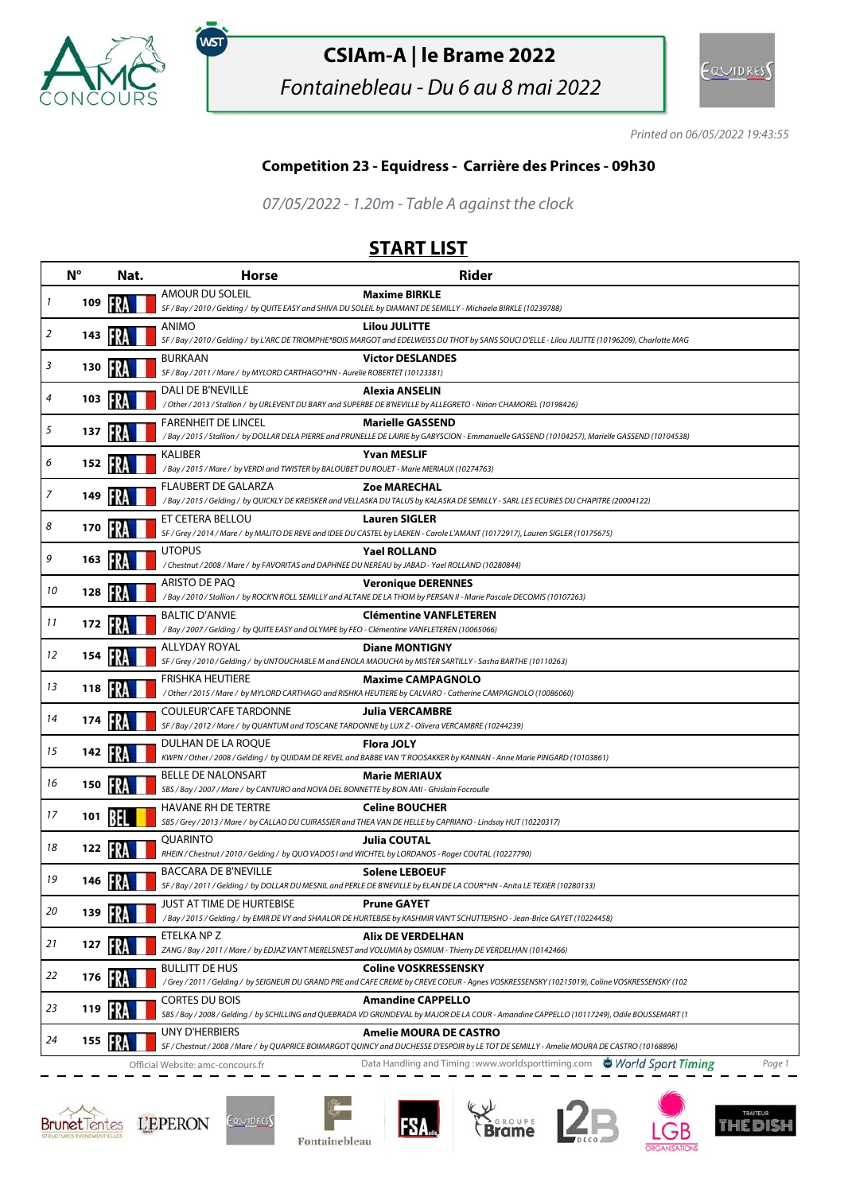

,<br>wsт

## **CSIAm-A | le Brame 2022**

Fontainebleau - Du 6 au 8 mai 2022



Printed on 06/05/2022 19:43:55

## **Competition 23 - Equidress - Carrière des Princes - 09h30**

07/05/2022 - 1.20m - Table A against the clock

## **START LIST**

|    | $N^{\circ}$ | Nat. | <b>Horse</b>                                                                                                                     | <b>Rider</b>                                                                                                                                                                |
|----|-------------|------|----------------------------------------------------------------------------------------------------------------------------------|-----------------------------------------------------------------------------------------------------------------------------------------------------------------------------|
| 1  | 109         |      | AMOUR DU SOLEIL                                                                                                                  | <b>Maxime BIRKLE</b><br>SF / Bay / 2010 / Gelding / by QUITE EASY and SHIVA DU SOLEIL by DIAMANT DE SEMILLY - Michaela BIRKLE (10239788)                                    |
| 2  | 143         |      | ANIMO                                                                                                                            | <b>Lilou JULITTE</b><br>SF / Bay / 2010 / Gelding / by L'ARC DE TRIOMPHE*BOIS MARGOT and EDELWEISS DU THOT by SANS SOUCI D'ELLE - Lilou JULITTE (10196209), Charlotte MAG   |
| 3  | 130         |      | <b>BURKAAN</b><br>SF / Bay / 2011 / Mare / by MYLORD CARTHAGO*HN - Aurelie ROBERTET (10123381)                                   | <b>Victor DESLANDES</b>                                                                                                                                                     |
| 4  | 103         |      | DALI DE B'NEVILLE                                                                                                                | Alexia ANSELIN<br>/ Other / 2013 / Stallion / by URLEVENT DU BARY and SUPERBE DE B'NEVILLE by ALLEGRETO - Ninon CHAMOREL (10198426)                                         |
| 5  | 137         |      | <b>FARENHEIT DE LINCEL</b>                                                                                                       | <b>Marielle GASSEND</b><br>/ Bay / 2015 / Stallion / by DOLLAR DELA PIERRE and PRUNELLE DE LAIRIE by GABYSCION - Emmanuelle GASSEND (10104257), Marielle GASSEND (10104538) |
| 6  | 152         |      | KALIBER<br>/Bay / 2015 / Mare / by VERDI and TWISTER by BALOUBET DU ROUET - Marie MERIAUX (10274763)                             | <b>Yvan MESLIF</b>                                                                                                                                                          |
| 7  | 149         |      | FLAUBERT DE GALARZA                                                                                                              | <b>Zoe MARECHAL</b><br>/Bay / 2015 / Gelding / by QUICKLY DE KREISKER and VELLASKA DU TALUS by KALASKA DE SEMILLY - SARL LES ECURIES DU CHAPITRE (20004122)                 |
| 8  | 170         |      | ET CETERA BELLOU                                                                                                                 | <b>Lauren SIGLER</b><br>SF / Grey / 2014 / Mare / by MALITO DE REVE and IDEE DU CASTEL by LAEKEN - Carole L'AMANT (10172917), Lauren SIGLER (10175675)                      |
| 9  | 163         |      | <b>UTOPUS</b><br>/ Chestnut / 2008 / Mare / by FAVORITAS and DAPHNEE DU NEREAU by JABAD - Yael ROLLAND (10280844)                | <b>Yael ROLLAND</b>                                                                                                                                                         |
| 10 | 128         |      | ARISTO DE PAO                                                                                                                    | <b>Veronique DERENNES</b><br>/ Bay / 2010 / Stallion / by ROCK'N ROLL SEMILLY and ALTANE DE LA THOM by PERSAN II - Marie Pascale DECOMIS (10107263)                         |
| 11 | 172         |      | <b>BALTIC D'ANVIE</b><br>/Bay / 2007 / Gelding / by QUITE EASY and OLYMPE by FEO - Clémentine VANFLETEREN (10065066)             | <b>Clémentine VANFLETEREN</b>                                                                                                                                               |
| 12 | 154         |      | ALLYDAY ROYAL                                                                                                                    | <b>Diane MONTIGNY</b><br>SF / Grey / 2010 / Gelding / by UNTOUCHABLE M and ENOLA MAOUCHA by MISTER SARTILLY - Sasha BARTHE (10110263)                                       |
| 13 | 118         |      | <b>FRISHKA HEUTIERE</b>                                                                                                          | <b>Maxime CAMPAGNOLO</b><br>/ Other / 2015 / Mare / by MYLORD CARTHAGO and RISHKA HEUTIERE by CALVARO - Catherine CAMPAGNOLO (10086060)                                     |
| 14 | 174         |      | <b>COULEUR'CAFE TARDONNE</b><br>SF / Bay / 2012 / Mare / by QUANTUM and TOSCANE TARDONNE by LUX Z - Olivera VERCAMBRE (10244239) | <b>Julia VERCAMBRE</b>                                                                                                                                                      |
| 15 | 142         |      | DULHAN DE LA ROQUE                                                                                                               | <b>Flora JOLY</b><br>KWPN / Other / 2008 / Gelding / by QUIDAM DE REVEL and BABBE VAN 'T ROOSAKKER by KANNAN - Anne Marie PINGARD (10103861)                                |
| 16 | 150         |      | <b>BELLE DE NALONSART</b><br>SBS / Bay / 2007 / Mare / by CANTURO and NOVA DEL BONNETTE by BON AMI - Ghislain Focroulle          | <b>Marie MERIAUX</b>                                                                                                                                                        |
| 17 | 101         |      | HAVANE RH DE TERTRE                                                                                                              | <b>Celine BOUCHER</b><br>SBS / Grey / 2013 / Mare / by CALLAO DU CUIRASSIER and THEA VAN DE HELLE by CAPRIANO - Lindsay HUT (10220317)                                      |
| 18 | 122         |      | QUARINTO<br>RHEIN / Chestnut / 2010 / Gelding / by QUO VADOS I and WICHTEL by LORDANOS - Roger COUTAL (10227790)                 | Julia COUTAL                                                                                                                                                                |
| 19 | 146         |      | <b>BACCARA DE B'NEVILLE</b>                                                                                                      | <b>Solene LEBOEUF</b><br>SF / Bay / 2011 / Gelding / by DOLLAR DU MESNIL and PERLE DE B'NEVILLE by ELAN DE LA COUR*HN - Anita LE TEXIER (10280133)                          |
| 20 | 139         |      | JUST AT TIME DE HURTEBISE                                                                                                        | <b>Prune GAYET</b><br>/Bay / 2015 / Gelding / by EMIR DE VY and SHAALOR DE HURTEBISE by KASHMIR VAN'T SCHUTTERSHO - Jean-Brice GAYET (10224458)                             |
| 21 | 127         |      | ETELKA NP Z                                                                                                                      | Alix DE VERDELHAN<br>ZANG / Bay / 2011 / Mare / by EDJAZ VAN'T MERELSNEST and VOLUMIA by OSMIUM - Thierry DE VERDELHAN (10142466)                                           |
| 22 | 176         |      | <b>BULLITT DE HUS</b>                                                                                                            | <b>Coline VOSKRESSENSKY</b><br>/Grey / 2011 / Gelding / by SEIGNEUR DU GRAND PRE and CAFE CREME by CREVE COEUR - Agnes VOSKRESSENSKY (10215019), Coline VOSKRESSENSKY (102  |
| 23 | 119         |      | <b>CORTES DU BOIS</b>                                                                                                            | <b>Amandine CAPPELLO</b><br>SBS / Bay / 2008 / Gelding / by SCHILLING and QUEBRADA VD GRUNDEVAL by MAJOR DE LA COUR - Amandine CAPPELLO (10117249), Odile BOUSSEMART (1     |
| 24 | 155         |      | UNY D'HERBIERS                                                                                                                   | <b>Amelie MOURA DE CASTRO</b><br>SF / Chestnut / 2008 / Mare / by QUAPRICE BOIMARGOT QUINCY and DUCHESSE D'ESPOIR by LE TOT DE SEMILLY - Amelie MOURA DE CASTRO (10168896)  |
|    |             |      | Official Website: amc-concours.fr                                                                                                | Data Handling and Timing: www.worldsporttiming.com World Sport Timing<br>Page 1                                                                                             |







**FSA**